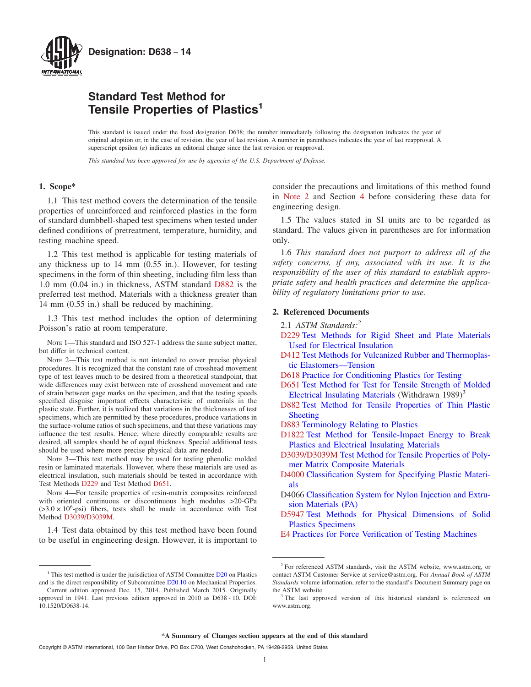<span id="page-0-0"></span>

# **Standard Test Method for Tensile Properties of Plastics<sup>1</sup>**

This standard is issued under the fixed designation D638; the number immediately following the designation indicates the year of original adoption or, in the case of revision, the year of last revision. A number in parentheses indicates the year of last reapproval. A superscript epsilon  $(\varepsilon)$  indicates an editorial change since the last revision or reapproval.

*This standard has been approved for use by agencies of the U.S. Department of Defense.*

## **1. Scope\***

1.1 This test method covers the determination of the tensile properties of unreinforced and reinforced plastics in the form of standard dumbbell-shaped test specimens when tested under defined conditions of pretreatment, temperature, humidity, and testing machine speed.

1.2 This test method is applicable for testing materials of any thickness up to 14 mm (0.55 in.). However, for testing specimens in the form of thin sheeting, including film less than 1.0 mm (0.04 in.) in thickness, ASTM standard D882 is the preferred test method. Materials with a thickness greater than 14 mm (0.55 in.) shall be reduced by machining.

1.3 This test method includes the option of determining Poisson's ratio at room temperature.

NOTE 1—This standard and ISO 527-1 address the same subject matter, but differ in technical content.

NOTE 2—This test method is not intended to cover precise physical procedures. It is recognized that the constant rate of crosshead movement type of test leaves much to be desired from a theoretical standpoint, that wide differences may exist between rate of crosshead movement and rate of strain between gage marks on the specimen, and that the testing speeds specified disguise important effects characteristic of materials in the plastic state. Further, it is realized that variations in the thicknesses of test specimens, which are permitted by these procedures, produce variations in the surface-volume ratios of such specimens, and that these variations may influence the test results. Hence, where directly comparable results are desired, all samples should be of equal thickness. Special additional tests should be used where more precise physical data are needed.

NOTE 3—This test method may be used for testing phenolic molded resin or laminated materials. However, where these materials are used as electrical insulation, such materials should be tested in accordance with Test Methods D229 and Test Method D651.

NOTE 4—For tensile properties of resin-matrix composites reinforced with oriented continuous or discontinuous high modulus >20-GPa  $(>3.0 \times 10^{6}$ -psi) fibers, tests shall be made in accordance with Test Method D3039/D3039M.

1.4 Test data obtained by this test method have been found to be useful in engineering design. However, it is important to consider the precautions and limitations of this method found in Note 2 and Section [4](#page-1-0) before considering these data for engineering design.

1.5 The values stated in SI units are to be regarded as standard. The values given in parentheses are for information only.

1.6 *This standard does not purport to address all of the safety concerns, if any, associated with its use. It is the responsibility of the user of this standard to establish appropriate safety and health practices and determine the applicability of regulatory limitations prior to use.*

## **2. Referenced Documents**

2.1 *ASTM Standards:*<sup>2</sup>

- D229 [Test Methods for Rigid Sheet and Plate Materials](http://dx.doi.org/10.1520/D0229) [Used for Electrical Insulation](http://dx.doi.org/10.1520/D0229)
- [D412](#page-3-0) [Test Methods for Vulcanized Rubber and Thermoplas](http://dx.doi.org/10.1520/D0412)[tic Elastomers—Tension](http://dx.doi.org/10.1520/D0412)
- [D618](#page-5-0) [Practice for Conditioning Plastics for Testing](http://dx.doi.org/10.1520/D0618)
- D651 [Test Method for Test for Tensile Strength of Molded](http://dx.doi.org/10.1520/D0651) [Electrical Insulating Materials](http://dx.doi.org/10.1520/D0651) (Withdrawn  $1989$ )<sup>3</sup>
- D882 [Test Method for Tensile Properties of Thin Plastic](http://dx.doi.org/10.1520/D0882) [Sheeting](http://dx.doi.org/10.1520/D0882)
- [D883](#page-1-0) [Terminology Relating to Plastics](http://dx.doi.org/10.1520/D0883)
- [D1822](#page-3-0) [Test Method for Tensile-Impact Energy to Break](http://dx.doi.org/10.1520/D1822) [Plastics and Electrical Insulating Materials](http://dx.doi.org/10.1520/D1822)
- D3039/D3039M [Test Method for Tensile Properties of Poly](http://dx.doi.org/10.1520/D3039_D3039M)[mer Matrix Composite Materials](http://dx.doi.org/10.1520/D3039_D3039M)
- [D4000](#page-1-0) [Classification System for Specifying Plastic Materi](http://dx.doi.org/10.1520/D4000)[als](http://dx.doi.org/10.1520/D4000)
- D4066 [Classification System for Nylon Injection and Extru](http://dx.doi.org/10.1520/D4066)[sion Materials \(PA\)](http://dx.doi.org/10.1520/D4066)
- [D5947](#page-2-0) [Test Methods for Physical Dimensions of Solid](http://dx.doi.org/10.1520/D5947) [Plastics Specimens](http://dx.doi.org/10.1520/D5947)
- [E4](#page-2-0) [Practices for Force Verification of Testing Machines](http://dx.doi.org/10.1520/E0004)

#### **\*A Summary of Changes section appears at the end of this standard**

 $1$  This test method is under the jurisdiction of ASTM Committee  $D20$  on Plastics and is the direct responsibility of Subcommittee [D20.10](http://www.astm.org/COMMIT/SUBCOMMIT/D2010.htm) on Mechanical Properties.

Current edition approved Dec. 15, 2014. Published March 2015. Originally approved in 1941. Last previous edition approved in 2010 as D638 - 10. DOI: 10.1520/D0638-14.

<sup>2</sup> For referenced ASTM standards, visit the ASTM website, www.astm.org, or contact ASTM Customer Service at service@astm.org. For *Annual Book of ASTM Standards* volume information, refer to the standard's Document Summary page on the ASTM website.

<sup>&</sup>lt;sup>3</sup> The last approved version of this historical standard is referenced on www.astm.org.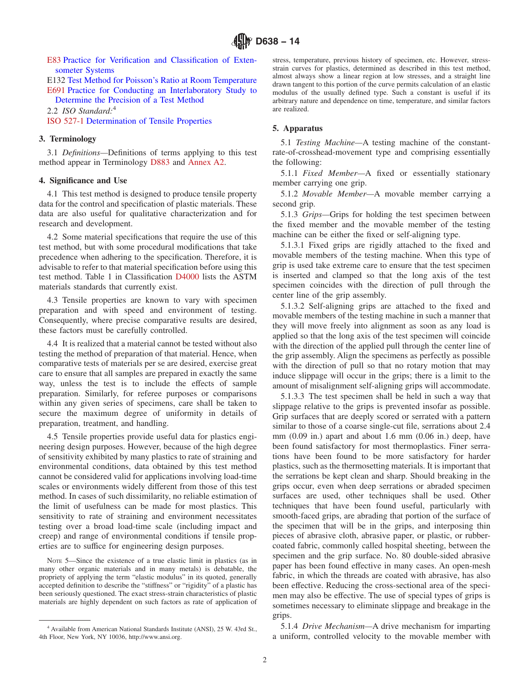<span id="page-1-0"></span>[E83](#page-2-0) [Practice for Verification and Classification of Exten](http://dx.doi.org/10.1520/E0083)[someter Systems](http://dx.doi.org/10.1520/E0083)

E132 [Test Method for Poisson's Ratio at Room Temperature](http://dx.doi.org/10.1520/E0132)

[E691](#page-8-0) [Practice for Conducting an Interlaboratory Study to](http://dx.doi.org/10.1520/E0691) [Determine the Precision of a Test Method](http://dx.doi.org/10.1520/E0691)

2.2 *ISO Standard:*<sup>4</sup>

[ISO 527-1](#page-0-0) Determination of Tensile Properties

## **3. Terminology**

3.1 *Definitions—*Definitions of terms applying to this test method appear in Terminology [D883](#page-5-0) and [Annex A2.](#page-10-0)

## **4. Significance and Use**

4.1 This test method is designed to produce tensile property data for the control and specification of plastic materials. These data are also useful for qualitative characterization and for research and development.

4.2 Some material specifications that require the use of this test method, but with some procedural modifications that take precedence when adhering to the specification. Therefore, it is advisable to refer to that material specification before using this test method. Table 1 in Classification [D4000](#page-0-0) lists the ASTM materials standards that currently exist.

4.3 Tensile properties are known to vary with specimen preparation and with speed and environment of testing. Consequently, where precise comparative results are desired, these factors must be carefully controlled.

4.4 It is realized that a material cannot be tested without also testing the method of preparation of that material. Hence, when comparative tests of materials per se are desired, exercise great care to ensure that all samples are prepared in exactly the same way, unless the test is to include the effects of sample preparation. Similarly, for referee purposes or comparisons within any given series of specimens, care shall be taken to secure the maximum degree of uniformity in details of preparation, treatment, and handling.

4.5 Tensile properties provide useful data for plastics engineering design purposes. However, because of the high degree of sensitivity exhibited by many plastics to rate of straining and environmental conditions, data obtained by this test method cannot be considered valid for applications involving load-time scales or environments widely different from those of this test method. In cases of such dissimilarity, no reliable estimation of the limit of usefulness can be made for most plastics. This sensitivity to rate of straining and environment necessitates testing over a broad load-time scale (including impact and creep) and range of environmental conditions if tensile properties are to suffice for engineering design purposes.

NOTE 5—Since the existence of a true elastic limit in plastics (as in many other organic materials and in many metals) is debatable, the propriety of applying the term "elastic modulus" in its quoted, generally accepted definition to describe the "stiffness" or "rigidity" of a plastic has been seriously questioned. The exact stress-strain characteristics of plastic materials are highly dependent on such factors as rate of application of stress, temperature, previous history of specimen, etc. However, stressstrain curves for plastics, determined as described in this test method, almost always show a linear region at low stresses, and a straight line drawn tangent to this portion of the curve permits calculation of an elastic modulus of the usually defined type. Such a constant is useful if its arbitrary nature and dependence on time, temperature, and similar factors are realized.

#### **5. Apparatus**

5.1 *Testing Machine—*A testing machine of the constantrate-of-crosshead-movement type and comprising essentially the following:

5.1.1 *Fixed Member—*A fixed or essentially stationary member carrying one grip.

5.1.2 *Movable Member—*A movable member carrying a second grip.

5.1.3 *Grips—*Grips for holding the test specimen between the fixed member and the movable member of the testing machine can be either the fixed or self-aligning type.

5.1.3.1 Fixed grips are rigidly attached to the fixed and movable members of the testing machine. When this type of grip is used take extreme care to ensure that the test specimen is inserted and clamped so that the long axis of the test specimen coincides with the direction of pull through the center line of the grip assembly.

5.1.3.2 Self-aligning grips are attached to the fixed and movable members of the testing machine in such a manner that they will move freely into alignment as soon as any load is applied so that the long axis of the test specimen will coincide with the direction of the applied pull through the center line of the grip assembly. Align the specimens as perfectly as possible with the direction of pull so that no rotary motion that may induce slippage will occur in the grips; there is a limit to the amount of misalignment self-aligning grips will accommodate.

5.1.3.3 The test specimen shall be held in such a way that slippage relative to the grips is prevented insofar as possible. Grip surfaces that are deeply scored or serrated with a pattern similar to those of a coarse single-cut file, serrations about 2.4 mm (0.09 in.) apart and about 1.6 mm (0.06 in.) deep, have been found satisfactory for most thermoplastics. Finer serrations have been found to be more satisfactory for harder plastics, such as the thermosetting materials. It is important that the serrations be kept clean and sharp. Should breaking in the grips occur, even when deep serrations or abraded specimen surfaces are used, other techniques shall be used. Other techniques that have been found useful, particularly with smooth-faced grips, are abrading that portion of the surface of the specimen that will be in the grips, and interposing thin pieces of abrasive cloth, abrasive paper, or plastic, or rubbercoated fabric, commonly called hospital sheeting, between the specimen and the grip surface. No. 80 double-sided abrasive paper has been found effective in many cases. An open-mesh fabric, in which the threads are coated with abrasive, has also been effective. Reducing the cross-sectional area of the specimen may also be effective. The use of special types of grips is sometimes necessary to eliminate slippage and breakage in the grips.

5.1.4 *Drive Mechanism—*A drive mechanism for imparting a uniform, controlled velocity to the movable member with

<sup>4</sup> Available from American National Standards Institute (ANSI), 25 W. 43rd St., 4th Floor, New York, NY 10036, http://www.ansi.org.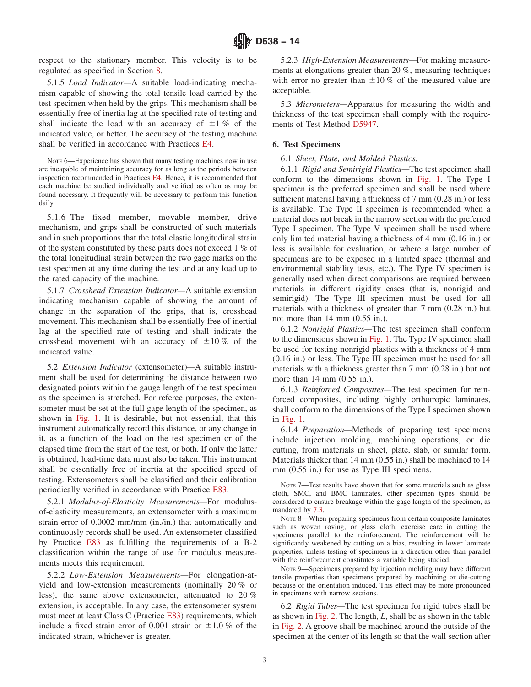<span id="page-2-0"></span>respect to the stationary member. This velocity is to be regulated as specified in Section [8.](#page-4-0)

5.1.5 *Load Indicator—*A suitable load-indicating mechanism capable of showing the total tensile load carried by the test specimen when held by the grips. This mechanism shall be essentially free of inertia lag at the specified rate of testing and shall indicate the load with an accuracy of  $\pm 1\%$  of the indicated value, or better. The accuracy of the testing machine shall be verified in accordance with Practices E4.

NOTE 6—Experience has shown that many testing machines now in use are incapable of maintaining accuracy for as long as the periods between inspection recommended in Practices [E4.](#page-0-0) Hence, it is recommended that each machine be studied individually and verified as often as may be found necessary. It frequently will be necessary to perform this function daily.

5.1.6 The fixed member, movable member, drive mechanism, and grips shall be constructed of such materials and in such proportions that the total elastic longitudinal strain of the system constituted by these parts does not exceed 1 % of the total longitudinal strain between the two gage marks on the test specimen at any time during the test and at any load up to the rated capacity of the machine.

5.1.7 *Crosshead Extension Indicator—*A suitable extension indicating mechanism capable of showing the amount of change in the separation of the grips, that is, crosshead movement. This mechanism shall be essentially free of inertial lag at the specified rate of testing and shall indicate the crosshead movement with an accuracy of  $\pm 10\%$  of the indicated value.

5.2 *Extension Indicator* (extensometer)*—*A suitable instrument shall be used for determining the distance between two designated points within the gauge length of the test specimen as the specimen is stretched. For referee purposes, the extensometer must be set at the full gage length of the specimen, as shown in [Fig. 1.](#page-3-0) It is desirable, but not essential, that this instrument automatically record this distance, or any change in it, as a function of the load on the test specimen or of the elapsed time from the start of the test, or both. If only the latter is obtained, load-time data must also be taken. This instrument shall be essentially free of inertia at the specified speed of testing. Extensometers shall be classified and their calibration periodically verified in accordance with Practice E83.

5.2.1 *Modulus-of-Elasticity Measurements—*For modulusof-elasticity measurements, an extensometer with a maximum strain error of 0.0002 mm/mm (in./in.) that automatically and continuously records shall be used. An extensometer classified by Practice E83 as fulfilling the requirements of a B-2 classification within the range of use for modulus measurements meets this requirement.

5.2.2 *Low-Extension Measurements—*For elongation-atyield and low-extension measurements (nominally 20 % or less), the same above extensometer, attenuated to 20 % extension, is acceptable. In any case, the extensometer system must meet at least Class C (Practice [E83\)](#page-1-0) requirements, which include a fixed strain error of 0.001 strain or  $\pm 1.0$  % of the indicated strain, whichever is greater.

5.2.3 *High-Extension Measurements—*For making measurements at elongations greater than 20 %, measuring techniques with error no greater than  $\pm 10\%$  of the measured value are acceptable.

5.3 *Micrometers—*Apparatus for measuring the width and thickness of the test specimen shall comply with the requirements of Test Method [D5947.](#page-5-0)

## **6. Test Specimens**

## 6.1 *Sheet, Plate, and Molded Plastics:*

6.1.1 *Rigid and Semirigid Plastics—*The test specimen shall conform to the dimensions shown in [Fig. 1.](#page-3-0) The Type I specimen is the preferred specimen and shall be used where sufficient material having a thickness of 7 mm (0.28 in.) or less is available. The Type II specimen is recommended when a material does not break in the narrow section with the preferred Type I specimen. The Type V specimen shall be used where only limited material having a thickness of 4 mm (0.16 in.) or less is available for evaluation, or where a large number of specimens are to be exposed in a limited space (thermal and environmental stability tests, etc.). The Type IV specimen is generally used when direct comparisons are required between materials in different rigidity cases (that is, nonrigid and semirigid). The Type III specimen must be used for all materials with a thickness of greater than 7 mm (0.28 in.) but not more than 14 mm (0.55 in.).

6.1.2 *Nonrigid Plastics—*The test specimen shall conform to the dimensions shown in [Fig. 1.](#page-3-0) The Type IV specimen shall be used for testing nonrigid plastics with a thickness of 4 mm (0.16 in.) or less. The Type III specimen must be used for all materials with a thickness greater than 7 mm (0.28 in.) but not more than 14 mm (0.55 in.).

6.1.3 *Reinforced Composites—*The test specimen for reinforced composites, including highly orthotropic laminates, shall conform to the dimensions of the Type I specimen shown in [Fig. 1.](#page-3-0)

6.1.4 *Preparation—*Methods of preparing test specimens include injection molding, machining operations, or die cutting, from materials in sheet, plate, slab, or similar form. Materials thicker than 14 mm (0.55 in.) shall be machined to 14 mm (0.55 in.) for use as Type III specimens.

NOTE 7—Test results have shown that for some materials such as glass cloth, SMC, and BMC laminates, other specimen types should be considered to ensure breakage within the gage length of the specimen, as mandated by [7.3.](#page-4-0)

NOTE 8—When preparing specimens from certain composite laminates such as woven roving, or glass cloth, exercise care in cutting the specimens parallel to the reinforcement. The reinforcement will be significantly weakened by cutting on a bias, resulting in lower laminate properties, unless testing of specimens in a direction other than parallel with the reinforcement constitutes a variable being studied.

NOTE 9—Specimens prepared by injection molding may have different tensile properties than specimens prepared by machining or die-cutting because of the orientation induced. This effect may be more pronounced in specimens with narrow sections.

6.2 *Rigid Tubes—*The test specimen for rigid tubes shall be as shown in [Fig. 2.](#page-4-0) The length, *L*, shall be as shown in the table in [Fig. 2.](#page-4-0) A groove shall be machined around the outside of the specimen at the center of its length so that the wall section after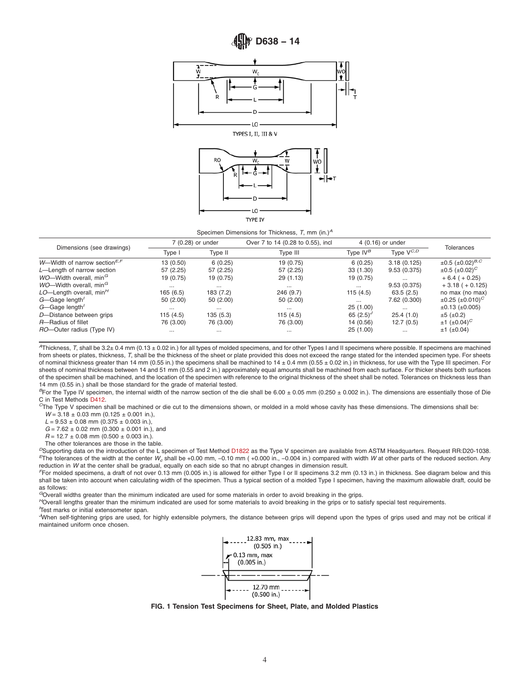**D638 − 14**

<span id="page-3-0"></span>

Specimen Dimensions for Thickness, *T*, mm (in.)*<sup>A</sup>*

|                                          | 7 (0.28) or under |           | Over 7 to 14 (0.28 to 0.55), incl | 4 (0.16) or under |                |                                         |
|------------------------------------------|-------------------|-----------|-----------------------------------|-------------------|----------------|-----------------------------------------|
| Dimensions (see drawings)                | Type I            | Type II   | Type III                          | Type $IV^B$       | Type $V^{C,D}$ | Tolerances                              |
| W—Width of narrow section <sup>E,F</sup> | 13(0.50)          | 6(0.25)   | 19(0.75)                          | 6(0.25)           | 3.18(0.125)    | $\pm 0.5$ ( $\pm 0.02$ ) <sup>B,C</sup> |
| L-Length of narrow section               | 57 (2.25)         | 57 (2.25) | 57 (2.25)                         | 33(1.30)          | 9.53(0.375)    | $\pm 0.5~(\pm 0.02)^C$                  |
| $WO$ -Width overall, min <sup>G</sup>    | 19 (0.75)         | 19 (0.75) | 29(1.13)                          | 19(0.75)          | $\cdots$       | $+6.4 (+ 0.25)$                         |
| WO-Width overall, min <sup>G</sup>       | $\cdots$          | $\cdots$  | $\cdots$                          | $\cdots$          | 9.53(0.375)    | $+3.18 (+0.125)$                        |
| $LO$ -Length overall, min <sup>H</sup>   | 165(6.5)          | 183 (7.2) | 246(9.7)                          | 115(4.5)          | 63.5(2.5)      | no max (no max)                         |
| $G$ -Gage length'                        | 50(2.00)          | 50(2.00)  | 50 (2.00)                         | $\cdots$          | 7.62 (0.300)   | $\pm 0.25~(\pm 0.010)^C$                |
| $G$ –Gage length'                        | $\cdots$          | $\cdots$  | $\cdots$                          | 25(1.00)          | $\cdots$       | $\pm 0.13$ ( $\pm 0.005$ )              |
| D-Distance between grips                 | 115(4.5)          | 135 (5.3) | 115(4.5)                          | 65 $(2.5)^{J}$    | 25.4(1.0)      | $±5$ ( $±0.2$ )                         |
| R-Radius of fillet                       | 76 (3.00)         | 76 (3.00) | 76 (3.00)                         | 14 (0.56)         | 12.7(0.5)      | $±1$ (±0.04) <sup><i>C</i></sup>        |
| RO-Outer radius (Type IV)                | $\cdots$          | $\cdots$  | $\cdots$                          | 25 (1.00)         | $\cdots$       | $±1$ (±0.04)                            |

*<sup>A</sup>*Thickness, *T*, shall be 3.2± 0.4 mm (0.13 ± 0.02 in.) for all types of molded specimens, and for other Types I and II specimens where possible. If specimens are machined from sheets or plates, thickness, *T*, shall be the thickness of the sheet or plate provided this does not exceed the range stated for the intended specimen type. For sheets of nominal thickness greater than 14 mm (0.55 in.) the specimens shall be machined to  $14 \pm 0.4$  mm (0.55  $\pm$  0.02 in.) in thickness, for use with the Type III specimen. For sheets of nominal thickness between 14 and 51 mm (0.55 and 2 in.) approximately equal amounts shall be machined from each surface. For thicker sheets both surfaces of the specimen shall be machined, and the location of the specimen with reference to the original thickness of the sheet shall be noted. Tolerances on thickness less than 14 mm (0.55 in.) shall be those standard for the grade of material tested.

*B*For the Type IV specimen, the internal width of the narrow section of the die shall be 6.00 ± 0.05 mm (0.250 ± 0.002 in.). The dimensions are essentially those of Die<br>C in Test Methods D412.

<sup>C</sup>The Type V specimen shall be machined or die cut to the dimensions shown, or molded in a mold whose cavity has these dimensions. The dimensions shall be:  $W = 3.18 \pm 0.03$  mm (0.125  $\pm$  0.001 in.),

 $L = 9.53 \pm 0.08$  mm (0.375  $\pm$  0.003 in.).

*G* = 7.62 ± 0.02 mm (0.300 ± 0.001 in.), and

 $R = 12.7 \pm 0.08$  mm (0.500  $\pm$  0.003 in.).<br>The other tolerances are those in the table.

<sup>D</sup>Supporting data on the introduction of the L specimen of Test Method [D1822](#page-0-0) as the Type V specimen are available from ASTM Headquarters. Request RR:D20-1038.<br><sup>E</sup>The tolerances of the width at the center W<sub>c</sub> shall be +0 reduction in *<sup>W</sup>* at the center shall be gradual, equally on each side so that no abrupt changes in dimension result. *<sup>F</sup>*

For molded specimens, a draft of not over 0.13 mm (0.005 in.) is allowed for either Type I or II specimens 3.2 mm (0.13 in.) in thickness. See diagram below and this shall be taken into account when calculating width of the specimen. Thus a typical section of a molded Type I specimen, having the maximum allowable draft, could be as follows:

*<sup>G</sup>*Overall widths greater than the minimum indicated are used for some materials in order to avoid breaking in the grips.

*<sup>H</sup>*Overall lengths greater than the minimum indicated are used for some materials to avoid breaking in the grips or to satisfy special test requirements.

*I* Test marks or initial extensometer span.

*J* When self-tightening grips are used, for highly extensible polymers, the distance between grips will depend upon the types of grips used and may not be critical if maintained uniform once chosen.



**FIG. 1 Tension Test Specimens for Sheet, Plate, and Molded Plastics**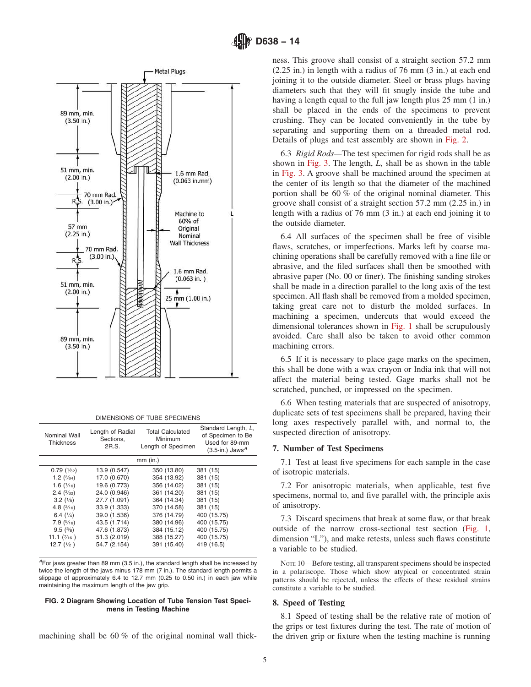<span id="page-4-0"></span>

DIMENSIONS OF TUBE SPECIMENS

| Nominal Wall<br><b>Thickness</b> | Length of Radial<br>Sections.<br>2R.S. | <b>Total Calculated</b><br>Minimum<br>Length of Specimen | Standard Length, L.<br>of Specimen to Be<br>Used for 89-mm<br>$(3.5$ -in.) Jaws <sup>A</sup> |
|----------------------------------|----------------------------------------|----------------------------------------------------------|----------------------------------------------------------------------------------------------|
|                                  |                                        | $mm$ (in.)                                               |                                                                                              |
| 0.79(1/32)                       | 13.9 (0.547)                           | 350 (13.80)                                              | 381 (15)                                                                                     |
| 1.2 $(3/64)$                     | 17.0 (0.670)                           | 354 (13.92)                                              | 381 (15)                                                                                     |
| 1.6 $(\frac{1}{16})$             | 19.6 (0.773)                           | 356 (14.02)                                              | 381 (15)                                                                                     |
| 2.4(3/32)                        | 24.0 (0.946)                           | 361 (14.20)                                              | 381 (15)                                                                                     |
| $3.2 \frac{1}{8}$                | 27.7 (1.091)                           | 364 (14.34)                                              | 381 (15)                                                                                     |
| 4.8 $(3/16)$                     | 33.9 (1.333)                           | 370 (14.58)                                              | 381 (15)                                                                                     |
| 6.4 $(\frac{1}{4})$              | 39.0 (1.536)                           | 376 (14.79)                                              | 400 (15.75)                                                                                  |
| 7.9(5/16)                        | 43.5 (1.714)                           | 380 (14.96)                                              | 400 (15.75)                                                                                  |
| 9.5(3/8)                         | 47.6 (1.873)                           | 384 (15.12)                                              | 400 (15.75)                                                                                  |
| 11.1(7/16)                       | 51.3 (2.019)                           | 388 (15.27)                                              | 400 (15.75)                                                                                  |
| 12.7(1/2)                        | 54.7 (2.154)                           | 391 (15.40)                                              | 419 (16.5)                                                                                   |
|                                  |                                        |                                                          |                                                                                              |

*<sup>A</sup>*For jaws greater than 89 mm (3.5 in.), the standard length shall be increased by twice the length of the jaws minus 178 mm (7 in.). The standard length permits a slippage of approximately 6.4 to 12.7 mm (0.25 to 0.50 in.) in each jaw while maintaining the maximum length of the jaw grip.

#### **FIG. 2 Diagram Showing Location of Tube Tension Test Specimens in Testing Machine**

machining shall be 60 % of the original nominal wall thick-

ness. This groove shall consist of a straight section 57.2 mm (2.25 in.) in length with a radius of 76 mm (3 in.) at each end joining it to the outside diameter. Steel or brass plugs having diameters such that they will fit snugly inside the tube and having a length equal to the full jaw length plus 25 mm  $(1 \text{ in.})$ shall be placed in the ends of the specimens to prevent crushing. They can be located conveniently in the tube by separating and supporting them on a threaded metal rod. Details of plugs and test assembly are shown in Fig. 2.

6.3 *Rigid Rods—*The test specimen for rigid rods shall be as shown in [Fig. 3.](#page-5-0) The length, *L*, shall be as shown in the table in [Fig. 3.](#page-5-0) A groove shall be machined around the specimen at the center of its length so that the diameter of the machined portion shall be 60 % of the original nominal diameter. This groove shall consist of a straight section 57.2 mm (2.25 in.) in length with a radius of 76 mm (3 in.) at each end joining it to the outside diameter.

6.4 All surfaces of the specimen shall be free of visible flaws, scratches, or imperfections. Marks left by coarse machining operations shall be carefully removed with a fine file or abrasive, and the filed surfaces shall then be smoothed with abrasive paper (No. 00 or finer). The finishing sanding strokes shall be made in a direction parallel to the long axis of the test specimen. All flash shall be removed from a molded specimen, taking great care not to disturb the molded surfaces. In machining a specimen, undercuts that would exceed the dimensional tolerances shown in [Fig. 1](#page-3-0) shall be scrupulously avoided. Care shall also be taken to avoid other common machining errors.

6.5 If it is necessary to place gage marks on the specimen, this shall be done with a wax crayon or India ink that will not affect the material being tested. Gage marks shall not be scratched, punched, or impressed on the specimen.

6.6 When testing materials that are suspected of anisotropy, duplicate sets of test specimens shall be prepared, having their long axes respectively parallel with, and normal to, the suspected direction of anisotropy.

## **7. Number of Test Specimens**

7.1 Test at least five specimens for each sample in the case of isotropic materials.

7.2 For anisotropic materials, when applicable, test five specimens, normal to, and five parallel with, the principle axis of anisotropy.

7.3 Discard specimens that break at some flaw, or that break outside of the narrow cross-sectional test section [\(Fig. 1,](#page-3-0) dimension "L"), and make retests, unless such flaws constitute a variable to be studied.

NOTE 10—Before testing, all transparent specimens should be inspected in a polariscope. Those which show atypical or concentrated strain patterns should be rejected, unless the effects of these residual strains constitute a variable to be studied.

#### **8. Speed of Testing**

8.1 Speed of testing shall be the relative rate of motion of the grips or test fixtures during the test. The rate of motion of the driven grip or fixture when the testing machine is running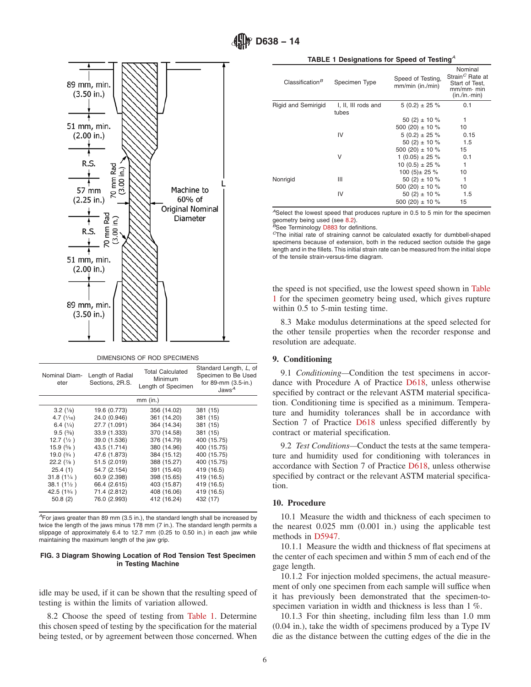<span id="page-5-0"></span>

#### DIMENSIONS OF ROD SPECIMENS

| Nominal Diam-<br>eter | Length of Radial<br>Sections, 2R.S. | <b>Total Calculated</b><br>Minimum<br>Length of Specimen | Standard Length, L, of<br>Specimen to Be Used<br>for 89-mm (3.5-in.)<br>Jaws <sup>A</sup> |
|-----------------------|-------------------------------------|----------------------------------------------------------|-------------------------------------------------------------------------------------------|
|                       |                                     | $mm$ (in.)                                               |                                                                                           |
| $3.2 \frac{1}{8}$     | 19.6 (0.773)                        | 356 (14.02)                                              | 381 (15)                                                                                  |
| 4.7 $(\frac{1}{16})$  | 24.0 (0.946)                        | 361 (14.20)                                              | 381 (15)                                                                                  |
| 6.4 $(\frac{1}{4})$   | 27.7 (1.091)                        | 364 (14.34)                                              | 381 (15)                                                                                  |
| 9.5(3/8)              | 33.9 (1.333)                        | 370 (14.58)                                              | 381 (15)                                                                                  |
| 12.7(1/2)             | 39.0 (1.536)                        | 376 (14.79)                                              | 400 (15.75)                                                                               |
| 15.9(5/8)             | 43.5 (1.714)                        | 380 (14.96)                                              | 400 (15.75)                                                                               |
| 19.0 $(3/4)$          | 47.6 (1.873)                        | 384 (15.12)                                              | 400 (15.75)                                                                               |
| 22.2(7)               | 51.5 (2.019)                        | 388 (15.27)                                              | 400 (15.75)                                                                               |
| 25.4(1)               | 54.7 (2.154)                        | 391 (15.40)                                              | 419 (16.5)                                                                                |
| $31.8(1\frac{1}{4})$  | 60.9 (2.398)                        | 398 (15.65)                                              | 419 (16.5)                                                                                |
| $38.1(1\frac{1}{2})$  | 66.4 (2.615)                        | 403 (15.87)                                              | 419 (16.5)                                                                                |
| 42.5 $(1\frac{3}{4})$ | 71.4 (2.812)                        | 408 (16.06)                                              | 419 (16.5)                                                                                |
| 50.8(2)               | 76.0 (2.993)                        | 412 (16.24)                                              | 432 (17)                                                                                  |
|                       |                                     |                                                          |                                                                                           |

*<sup>A</sup>*For jaws greater than 89 mm (3.5 in.), the standard length shall be increased by twice the length of the jaws minus 178 mm (7 in.). The standard length permits a slippage of approximately 6.4 to 12.7 mm (0.25 to 0.50 in.) in each jaw while maintaining the maximum length of the jaw grip.

#### **FIG. 3 Diagram Showing Location of Rod Tension Test Specimen in Testing Machine**

idle may be used, if it can be shown that the resulting speed of testing is within the limits of variation allowed.

8.2 Choose the speed of testing from Table 1. Determine this chosen speed of testing by the specification for the material being tested, or by agreement between those concerned. When

**TABLE 1 Designations for Speed of Testing***<sup>A</sup>*

| $Cl$ assification <sup>B</sup> | Specimen Type                | Speed of Testing,<br>mm/min (in./min) | Nominal<br>Strain <sup>C</sup> Rate at<br>Start of Test,<br>$mm/mm$ min<br>(in./inmin) |
|--------------------------------|------------------------------|---------------------------------------|----------------------------------------------------------------------------------------|
| <b>Rigid and Semirigid</b>     | I, II, III rods and<br>tubes | $5(0.2) \pm 25\%$                     | 0.1                                                                                    |
|                                |                              | 50 (2) $\pm$ 10 %                     | 1                                                                                      |
|                                |                              | 500 (20) $\pm$ 10 %                   | 10                                                                                     |
|                                | IV                           | $5(0.2) \pm 25\%$                     | 0.15                                                                                   |
|                                |                              | 50 (2) $\pm$ 10 %                     | 1.5                                                                                    |
|                                |                              | 500 (20) $\pm$ 10 %                   | 15                                                                                     |
|                                | ν                            | 1 $(0.05) \pm 25 \%$                  | 0.1                                                                                    |
|                                |                              | 10 (0.5) $\pm$ 25 %                   | 1                                                                                      |
|                                |                              | 100 $(5)$ ± 25 %                      | 10                                                                                     |
| Nonrigid                       | Ш                            | 50 (2) $\pm$ 10 %                     | 1                                                                                      |
|                                |                              | 500 (20) $\pm$ 10 %                   | 10                                                                                     |
|                                | IV                           | 50 (2) $\pm$ 10 %                     | 1.5                                                                                    |
|                                |                              | 500 (20) $\pm$ 10 %                   | 15                                                                                     |

*A*Select the lowest speed that produces rupture in 0.5 to 5 min for the specimen geometry being used (see 8.2).

<sup>B</sup>See Terminology [D883](#page-13-0) for definitions.<br><sup>*C*</sup>The initial rate of straining cannot be calculated exactly for dumbbell-shaped specimens because of extension, both in the reduced section outside the gage length and in the fillets. This initial strain rate can be measured from the initial slope of the tensile strain-versus-time diagram.

the speed is not specified, use the lowest speed shown in Table 1 for the specimen geometry being used, which gives rupture within 0.5 to 5-min testing time.

8.3 Make modulus determinations at the speed selected for the other tensile properties when the recorder response and resolution are adequate.

#### **9. Conditioning**

9.1 *Conditioning—*Condition the test specimens in accordance with Procedure A of Practice D618, unless otherwise specified by contract or the relevant ASTM material specification. Conditioning time is specified as a minimum. Temperature and humidity tolerances shall be in accordance with Section 7 of Practice D618 unless specified differently by contract or material specification.

9.2 *Test Conditions—*Conduct the tests at the same temperature and humidity used for conditioning with tolerances in accordance with Section 7 of Practice [D618,](#page-0-0) unless otherwise specified by contract or the relevant ASTM material specification.

## **10. Procedure**

10.1 Measure the width and thickness of each specimen to the nearest 0.025 mm (0.001 in.) using the applicable test methods in [D5947.](#page-13-0)

10.1.1 Measure the width and thickness of flat specimens at the center of each specimen and within 5 mm of each end of the gage length.

10.1.2 For injection molded specimens, the actual measurement of only one specimen from each sample will suffice when it has previously been demonstrated that the specimen-tospecimen variation in width and thickness is less than 1 %.

10.1.3 For thin sheeting, including film less than 1.0 mm (0.04 in.), take the width of specimens produced by a Type IV die as the distance between the cutting edges of the die in the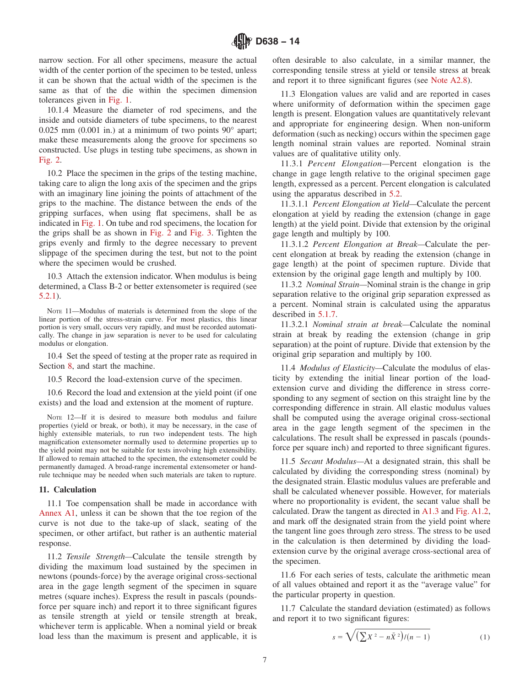narrow section. For all other specimens, measure the actual width of the center portion of the specimen to be tested, unless it can be shown that the actual width of the specimen is the same as that of the die within the specimen dimension tolerances given in [Fig. 1.](#page-3-0)

10.1.4 Measure the diameter of rod specimens, and the inside and outside diameters of tube specimens, to the nearest  $0.025$  mm  $(0.001$  in.) at a minimum of two points  $90^{\circ}$  apart; make these measurements along the groove for specimens so constructed. Use plugs in testing tube specimens, as shown in [Fig. 2.](#page-4-0)

10.2 Place the specimen in the grips of the testing machine, taking care to align the long axis of the specimen and the grips with an imaginary line joining the points of attachment of the grips to the machine. The distance between the ends of the gripping surfaces, when using flat specimens, shall be as indicated in [Fig. 1.](#page-3-0) On tube and rod specimens, the location for the grips shall be as shown in [Fig. 2](#page-4-0) and [Fig. 3.](#page-5-0) Tighten the grips evenly and firmly to the degree necessary to prevent slippage of the specimen during the test, but not to the point where the specimen would be crushed.

10.3 Attach the extension indicator. When modulus is being determined, a Class B-2 or better extensometer is required (see [5.2.1\)](#page-2-0).

NOTE 11—Modulus of materials is determined from the slope of the linear portion of the stress-strain curve. For most plastics, this linear portion is very small, occurs very rapidly, and must be recorded automatically. The change in jaw separation is never to be used for calculating modulus or elongation.

10.4 Set the speed of testing at the proper rate as required in Section [8,](#page-4-0) and start the machine.

10.5 Record the load-extension curve of the specimen.

10.6 Record the load and extension at the yield point (if one exists) and the load and extension at the moment of rupture.

NOTE 12—If it is desired to measure both modulus and failure properties (yield or break, or both), it may be necessary, in the case of highly extensible materials, to run two independent tests. The high magnification extensometer normally used to determine properties up to the yield point may not be suitable for tests involving high extensibility. If allowed to remain attached to the specimen, the extensometer could be permanently damaged. A broad-range incremental extensometer or handrule technique may be needed when such materials are taken to rupture.

## **11. Calculation**

11.1 Toe compensation shall be made in accordance with [Annex A1,](#page-9-0) unless it can be shown that the toe region of the curve is not due to the take-up of slack, seating of the specimen, or other artifact, but rather is an authentic material response.

11.2 *Tensile Strength—*Calculate the tensile strength by dividing the maximum load sustained by the specimen in newtons (pounds-force) by the average original cross-sectional area in the gage length segment of the specimen in square metres (square inches). Express the result in pascals (poundsforce per square inch) and report it to three significant figures as tensile strength at yield or tensile strength at break, whichever term is applicable. When a nominal yield or break load less than the maximum is present and applicable, it is often desirable to also calculate, in a similar manner, the corresponding tensile stress at yield or tensile stress at break and report it to three significant figures (see [Note A2.8\)](#page-11-0).

11.3 Elongation values are valid and are reported in cases where uniformity of deformation within the specimen gage length is present. Elongation values are quantitatively relevant and appropriate for engineering design. When non-uniform deformation (such as necking) occurs within the specimen gage length nominal strain values are reported. Nominal strain values are of qualitative utility only.

11.3.1 *Percent Elongation—*Percent elongation is the change in gage length relative to the original specimen gage length, expressed as a percent. Percent elongation is calculated using the apparatus described in [5.2.](#page-2-0)

11.3.1.1 *Percent Elongation at Yield—*Calculate the percent elongation at yield by reading the extension (change in gage length) at the yield point. Divide that extension by the original gage length and multiply by 100.

11.3.1.2 *Percent Elongation at Break—*Calculate the percent elongation at break by reading the extension (change in gage length) at the point of specimen rupture. Divide that extension by the original gage length and multiply by 100.

11.3.2 *Nominal Strain—*Nominal strain is the change in grip separation relative to the original grip separation expressed as a percent. Nominal strain is calculated using the apparatus described in [5.1.7.](#page-2-0)

11.3.2.1 *Nominal strain at break—*Calculate the nominal strain at break by reading the extension (change in grip separation) at the point of rupture. Divide that extension by the original grip separation and multiply by 100.

11.4 *Modulus of Elasticity—*Calculate the modulus of elasticity by extending the initial linear portion of the loadextension curve and dividing the difference in stress corresponding to any segment of section on this straight line by the corresponding difference in strain. All elastic modulus values shall be computed using the average original cross-sectional area in the gage length segment of the specimen in the calculations. The result shall be expressed in pascals (poundsforce per square inch) and reported to three significant figures.

11.5 *Secant Modulus—*At a designated strain, this shall be calculated by dividing the corresponding stress (nominal) by the designated strain. Elastic modulus values are preferable and shall be calculated whenever possible. However, for materials where no proportionality is evident, the secant value shall be calculated. Draw the tangent as directed in [A1.3](#page-9-0) and [Fig. A1.2,](#page-9-0) and mark off the designated strain from the yield point where the tangent line goes through zero stress. The stress to be used in the calculation is then determined by dividing the loadextension curve by the original average cross-sectional area of the specimen.

11.6 For each series of tests, calculate the arithmetic mean of all values obtained and report it as the "average value" for the particular property in question.

11.7 Calculate the standard deviation (estimated) as follows and report it to two significant figures:

$$
s = \sqrt{\left(\sum X^2 - n\bar{X}^2\right)/(n-1)}
$$
 (1)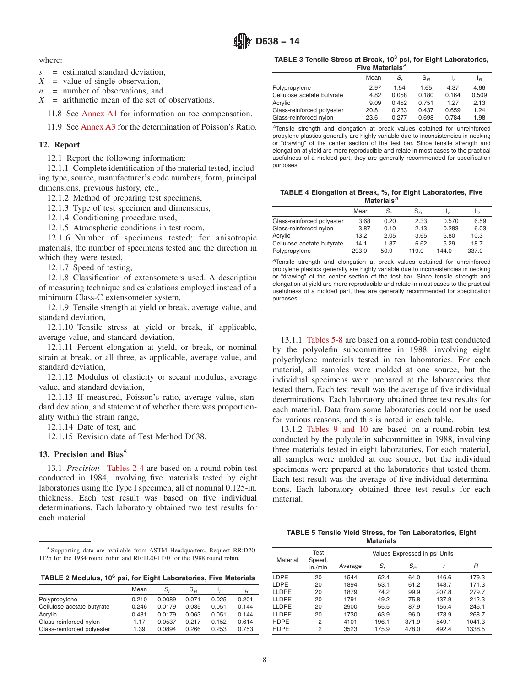<span id="page-7-0"></span>where:

*s* = estimated standard deviation,

*X* = value of single observation,

*n* = number of observations, and  $\bar{X}$  = arithmetic mean of the set of

 $\equiv$  arithmetic mean of the set of observations.

11.8 See [Annex A1](#page-9-0) for information on toe compensation.

11.9 See [Annex A3](#page-12-0) for the determination of Poisson's Ratio.

## **12. Report**

12.1 Report the following information:

12.1.1 Complete identification of the material tested, including type, source, manufacturer's code numbers, form, principal dimensions, previous history, etc.,

12.1.2 Method of preparing test specimens,

12.1.3 Type of test specimen and dimensions,

12.1.4 Conditioning procedure used,

12.1.5 Atmospheric conditions in test room,

12.1.6 Number of specimens tested; for anisotropic materials, the number of specimens tested and the direction in which they were tested,

12.1.7 Speed of testing,

12.1.8 Classification of extensometers used. A description of measuring technique and calculations employed instead of a minimum Class-C extensometer system,

12.1.9 Tensile strength at yield or break, average value, and standard deviation,

12.1.10 Tensile stress at yield or break, if applicable, average value, and standard deviation,

12.1.11 Percent elongation at yield, or break, or nominal strain at break, or all three, as applicable, average value, and standard deviation,

12.1.12 Modulus of elasticity or secant modulus, average value, and standard deviation,

12.1.13 If measured, Poisson's ratio, average value, standard deviation, and statement of whether there was proportionality within the strain range,

12.1.14 Date of test, and

12.1.15 Revision date of Test Method D638.

## **13. Precision and Bias5**

13.1 *Precision—*Tables 2-4 are based on a round-robin test conducted in 1984, involving five materials tested by eight laboratories using the Type I specimen, all of nominal 0.125-in. thickness. Each test result was based on five individual determinations. Each laboratory obtained two test results for each material.

**TABLE 3 Tensile Stress at Break, 10<sup>3</sup> psi, for Eight Laboratories, Five Materials***<sup>A</sup>*

| Mean | S.    | $S_{B}$ |       | $\mathsf{I}_R$ |
|------|-------|---------|-------|----------------|
| 2.97 | 1.54  | 1.65    | 4.37  | 4.66           |
| 4.82 | 0.058 | 0.180   | 0.164 | 0.509          |
| 9.09 | 0.452 | 0.751   | 1 27  | 2.13           |
| 20.8 | 0.233 | 0.437   | 0.659 | 1 24           |
| 23.6 | 0.277 | 0.698   | 0.784 | 1.98           |
|      |       |         |       |                |

*<sup>A</sup>*Tensile strength and elongation at break values obtained for unreinforced propylene plastics generally are highly variable due to inconsistencies in necking or "drawing" of the center section of the test bar. Since tensile strength and elongation at yield are more reproducible and relate in most cases to the practical usefulness of a molded part, they are generally recommended for specification purposes.

**TABLE 4 Elongation at Break, %, for Eight Laboratories, Five Materials***<sup>A</sup>*

|                            | Mean  | S.   | $S_{B}$ | ı.    | $\mathsf{I}_B$ |
|----------------------------|-------|------|---------|-------|----------------|
| Glass-reinforced polyester | 3.68  | 0.20 | 2.33    | 0.570 | 6.59           |
| Glass-reinforced nylon     | 3.87  | 0.10 | 2.13    | 0.283 | 6.03           |
| Acrylic                    | 13.2  | 2.05 | 3.65    | 5.80  | 10.3           |
| Cellulose acetate butyrate | 14.1  | 1.87 | 6.62    | 5.29  | 18.7           |
| Polypropylene              | 293.0 | 50.9 | 119.0   | 144 O | 337.0          |

*<sup>A</sup>*Tensile strength and elongation at break values obtained for unreinforced propylene plastics generally are highly variable due to inconsistencies in necking or "drawing" of the center section of the test bar. Since tensile strength and elongation at yield are more reproducible and relate in most cases to the practical usefulness of a molded part, they are generally recommended for specification purposes.

13.1.1 Tables 5-8 are based on a round-robin test conducted by the polyolefin subcommittee in 1988, involving eight polyethylene materials tested in ten laboratories. For each material, all samples were molded at one source, but the individual specimens were prepared at the laboratories that tested them. Each test result was the average of five individual determinations. Each laboratory obtained three test results for each material. Data from some laboratories could not be used for various reasons, and this is noted in each table.

13.1.2 [Tables 9 and 10](#page-8-0) are based on a round-robin test conducted by the polyolefin subcommittee in 1988, involving three materials tested in eight laboratories. For each material, all samples were molded at one source, but the individual specimens were prepared at the laboratories that tested them. Each test result was the average of five individual determinations. Each laboratory obtained three test results for each material.

<sup>5</sup> Supporting data are available from ASTM Headquarters. Request RR:D20- 1125 for the 1984 round robin and RR:D20-1170 for the 1988 round robin.

**TABLE 2 Modulus, 10<sup>6</sup> psi, for Eight Laboratories, Five Materials**

|                            | Mean  | S.     | $S_{\mathcal{P}}$ |       | $\mathsf{I}_B$ |
|----------------------------|-------|--------|-------------------|-------|----------------|
| Polypropylene              | 0.210 | 0.0089 | 0.071             | 0.025 | 0.201          |
| Cellulose acetate butyrate | 0.246 | 0.0179 | 0.035             | 0.051 | 0.144          |
| Acrylic                    | 0.481 | 0.0179 | 0.063             | 0.051 | 0.144          |
| Glass-reinforced nylon     | 1.17  | 0.0537 | 0.217             | 0.152 | 0.614          |
| Glass-reinforced polyester | 1.39  | 0.0894 | 0.266             | 0.253 | 0.753          |

**TABLE 5 Tensile Yield Stress, for Ten Laboratories, Eight Materials**

| Material     | Test<br>Speed, |         | Values Expressed in psi Units |         |       |        |  |  |  |
|--------------|----------------|---------|-------------------------------|---------|-------|--------|--|--|--|
|              | in./min        | Average | S,                            | $S_{B}$ | r     | R      |  |  |  |
| LDPE         | 20             | 1544    | 52.4                          | 64.0    | 146.6 | 179.3  |  |  |  |
| <b>IDPF</b>  | 20             | 1894    | 53.1                          | 61.2    | 148.7 | 171.3  |  |  |  |
| <b>IIDPF</b> | 20             | 1879    | 74.2                          | 99.9    | 207.8 | 279.7  |  |  |  |
| LLDPE        | 20             | 1791    | 49.2                          | 75.8    | 137.9 | 212.3  |  |  |  |
| LLDPE        | 20             | 2900    | 55.5                          | 87.9    | 155.4 | 246.1  |  |  |  |
| LLDPE        | 20             | 1730    | 63.9                          | 96.0    | 178.9 | 268.7  |  |  |  |
| <b>HDPE</b>  | 2              | 4101    | 196.1                         | 371.9   | 549.1 | 1041.3 |  |  |  |
| <b>HDPE</b>  | 2              | 3523    | 175.9                         | 478.0   | 492.4 | 1338.5 |  |  |  |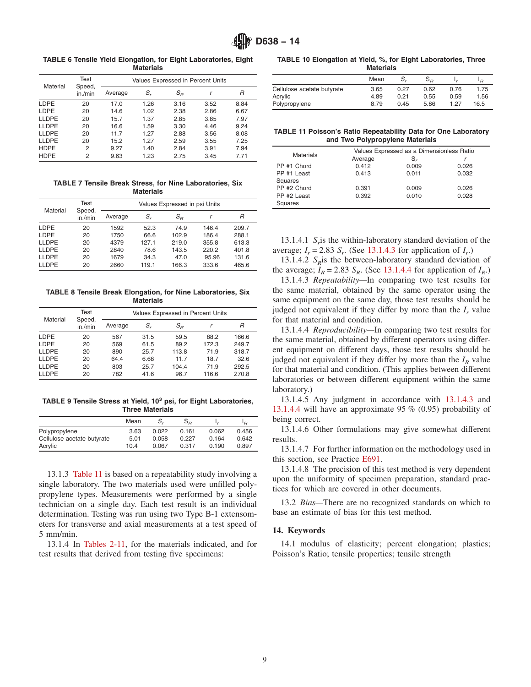<span id="page-8-0"></span>**TABLE 6 Tensile Yield Elongation, for Eight Laboratories, Eight Materials**

| Material     | Test              | Values Expressed in Percent Units |      |         |      |      |  |  |
|--------------|-------------------|-----------------------------------|------|---------|------|------|--|--|
|              | Speed,<br>in./min | Average                           | S,   | $S_{B}$ |      | R    |  |  |
| LDPE         | 20                | 17.0                              | 1.26 | 3.16    | 3.52 | 8.84 |  |  |
| LDPE         | 20                | 14.6                              | 1.02 | 2.38    | 2.86 | 6.67 |  |  |
| <b>LLDPE</b> | 20                | 15.7                              | 1.37 | 2.85    | 3.85 | 7.97 |  |  |
| <b>LLDPE</b> | 20                | 16.6                              | 1.59 | 3.30    | 4.46 | 9.24 |  |  |
| <b>LLDPE</b> | 20                | 11.7                              | 1.27 | 2.88    | 3.56 | 8.08 |  |  |
| <b>LLDPE</b> | 20                | 15.2                              | 1 27 | 2.59    | 3.55 | 7.25 |  |  |
| <b>HDPE</b>  | 2                 | 9.27                              | 1.40 | 2.84    | 3.91 | 7.94 |  |  |
| <b>HDPE</b>  | 2                 | 9.63                              | 1.23 | 2.75    | 3.45 | 7.71 |  |  |

**TABLE 7 Tensile Break Stress, for Nine Laboratories, Six Materials**

| Material     | Test<br>Speed, | Values Expressed in psi Units |       |         |       |       |  |
|--------------|----------------|-------------------------------|-------|---------|-------|-------|--|
|              | in./min        | Average                       | S,    | $S_{B}$ |       | R     |  |
| LDPE         | 20             | 1592                          | 52.3  | 74.9    | 146.4 | 209.7 |  |
| LDPE         | 20             | 1750                          | 66.6  | 102.9   | 186.4 | 288.1 |  |
| <b>IIDPF</b> | 20             | 4379                          | 127.1 | 219.0   | 355.8 | 613.3 |  |
| <b>IIDPF</b> | 20             | 2840                          | 78.6  | 143.5   | 220.2 | 401.8 |  |
| <b>IIDPF</b> | 20             | 1679                          | 34.3  | 47.0    | 95.96 | 131.6 |  |
| <b>LLDPE</b> | 20             | 2660                          | 119.1 | 166.3   | 333.6 | 465.6 |  |

**TABLE 8 Tensile Break Elongation, for Nine Laboratories, Six Materials**

| Material     | Test<br>Speed, |         | Values Expressed in Percent Units |         |       |       |
|--------------|----------------|---------|-----------------------------------|---------|-------|-------|
|              | in./min        | Average | S,                                | $S_{B}$ |       | R     |
| LDPE         | 20             | 567     | 31.5                              | 59.5    | 88.2  | 166.6 |
| LDPE         | 20             | 569     | 61.5                              | 89.2    | 172.3 | 249.7 |
| <b>LLDPE</b> | 20             | 890     | 25.7                              | 113.8   | 71.9  | 318.7 |
| <b>IIDPF</b> | 20             | 64.4    | 6.68                              | 11.7    | 18.7  | 32.6  |
| <b>LLDPE</b> | 20             | 803     | 25.7                              | 104.4   | 71.9  | 292.5 |
| <b>LLDPE</b> | 20             | 782     | 41.6                              | 96.7    | 116.6 | 270.8 |

**TABLE 9 Tensile Stress at Yield, 10<sup>3</sup> psi, for Eight Laboratories, Three Materials**

|                            | Mean |       | $S_{\mathcal{P}}$ |       | $\mathsf{I}_B$ |
|----------------------------|------|-------|-------------------|-------|----------------|
| Polypropylene              | 3.63 | 0.022 | 0.161             | 0.062 | 0.456          |
| Cellulose acetate butyrate | 5.01 | 0.058 | 0.227             | 0.164 | 0.642          |
| Acrylic                    | 10.4 | 0.067 | 0.317             | 0.190 | 0.897          |

13.1.3 Table 11 is based on a repeatability study involving a single laboratory. The two materials used were unfilled polypropylene types. Measurements were performed by a single technician on a single day. Each test result is an individual determination. Testing was run using two Type B-1 extensometers for transverse and axial measurements at a test speed of 5 mm/min.

13.1.4 In [Tables 2-11,](#page-7-0) for the materials indicated, and for test results that derived from testing five specimens:

**TABLE 10 Elongation at Yield, %, for Eight Laboratories, Three Materials**

|                            | Mean | S.   | $S_{B}$ |      | $\mathsf{I}_R$ |
|----------------------------|------|------|---------|------|----------------|
| Cellulose acetate butyrate | 3.65 | 0.27 | 0.62    | 0.76 | 1.75           |
| Acrylic                    | 4.89 | 0.21 | 0.55    | 0.59 | 1.56           |
| Polypropylene              | 8.79 | 0.45 | 5.86    | 1.27 | 16.5           |

**TABLE 11 Poisson's Ratio Repeatability Data for One Laboratory and Two Polypropylene Materials**

| Materials   | Values Expressed as a Dimensionless Ratio |       |       |  |
|-------------|-------------------------------------------|-------|-------|--|
|             | Average                                   | S,    |       |  |
| PP #1 Chord | 0.412                                     | 0.009 | 0.026 |  |
| PP #1 Least | 0.413                                     | 0.011 | 0.032 |  |
| Squares     |                                           |       |       |  |
| PP #2 Chord | 0.391                                     | 0.009 | 0.026 |  |
| PP #2 Least | 0.392                                     | 0.010 | 0.028 |  |
| Squares     |                                           |       |       |  |
|             |                                           |       |       |  |

13.1.4.1 *S*<sub>is</sub> the within-laboratory standard deviation of the average;  $I_r = 2.83$  *S<sub>r</sub>*. (See 13.1.4.3 for application of  $I_r$ .)

13.1.4.2  $S<sub>R</sub>$  is the between-laboratory standard deviation of the average;  $I_R = 2.83 S_R$ . (See 13.1.4.4 for application of  $I_R$ .)

13.1.4.3 *Repeatability—*In comparing two test results for the same material, obtained by the same operator using the same equipment on the same day, those test results should be judged not equivalent if they differ by more than the  $I_r$  value for that material and condition.

13.1.4.4 *Reproducibility—*In comparing two test results for the same material, obtained by different operators using different equipment on different days, those test results should be judged not equivalent if they differ by more than the  $I<sub>p</sub>$  value for that material and condition. (This applies between different laboratories or between different equipment within the same laboratory.)

13.1.4.5 Any judgment in accordance with 13.1.4.3 and 13.1.4.4 will have an approximate 95 % (0.95) probability of being correct.

13.1.4.6 Other formulations may give somewhat different results.

13.1.4.7 For further information on the methodology used in this section, see Practice [E691.](#page-1-0)

13.1.4.8 The precision of this test method is very dependent upon the uniformity of specimen preparation, standard practices for which are covered in other documents.

13.2 *Bias—*There are no recognized standards on which to base an estimate of bias for this test method.

#### **14. Keywords**

14.1 modulus of elasticity; percent elongation; plastics; Poisson's Ratio; tensile properties; tensile strength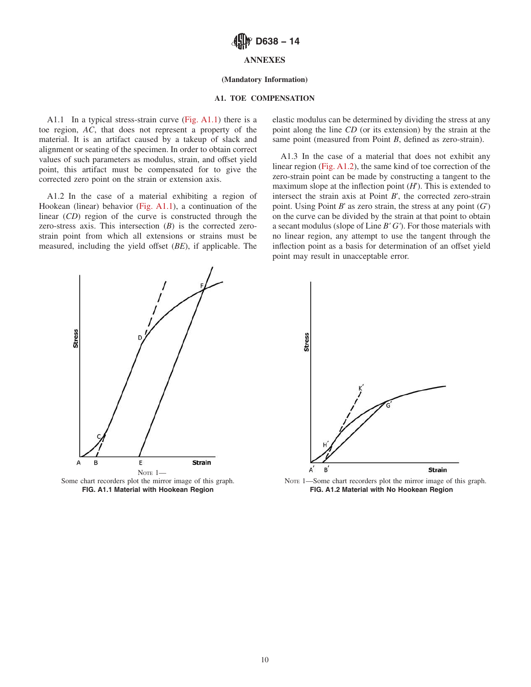# **D638 − 14**

## **ANNEXES**

#### **(Mandatory Information)**

## **A1. TOE COMPENSATION**

<span id="page-9-0"></span>A1.1 In a typical stress-strain curve (Fig. A1.1) there is a toe region, *AC*, that does not represent a property of the material. It is an artifact caused by a takeup of slack and alignment or seating of the specimen. In order to obtain correct values of such parameters as modulus, strain, and offset yield point, this artifact must be compensated for to give the corrected zero point on the strain or extension axis.

A1.2 In the case of a material exhibiting a region of Hookean (linear) behavior (Fig. A1.1), a continuation of the linear (*CD*) region of the curve is constructed through the zero-stress axis. This intersection (*B*) is the corrected zerostrain point from which all extensions or strains must be measured, including the yield offset (*BE*), if applicable. The elastic modulus can be determined by dividing the stress at any point along the line *CD* (or its extension) by the strain at the same point (measured from Point *B*, defined as zero-strain).

A1.3 In the case of a material that does not exhibit any linear region (Fig. A1.2), the same kind of toe correction of the zero-strain point can be made by constructing a tangent to the maximum slope at the inflection point (*H*'). This is extended to intersect the strain axis at Point *B*', the corrected zero-strain point. Using Point  $B'$  as zero strain, the stress at any point  $(G')$ on the curve can be divided by the strain at that point to obtain a secant modulus (slope of Line *B' G'*). For those materials with no linear region, any attempt to use the tangent through the inflection point as a basis for determination of an offset yield point may result in unacceptable error.



Some chart recorders plot the mirror image of this graph. **FIG. A1.1 Material with Hookean Region**



NOTE 1—Some chart recorders plot the mirror image of this graph. **FIG. A1.2 Material with No Hookean Region**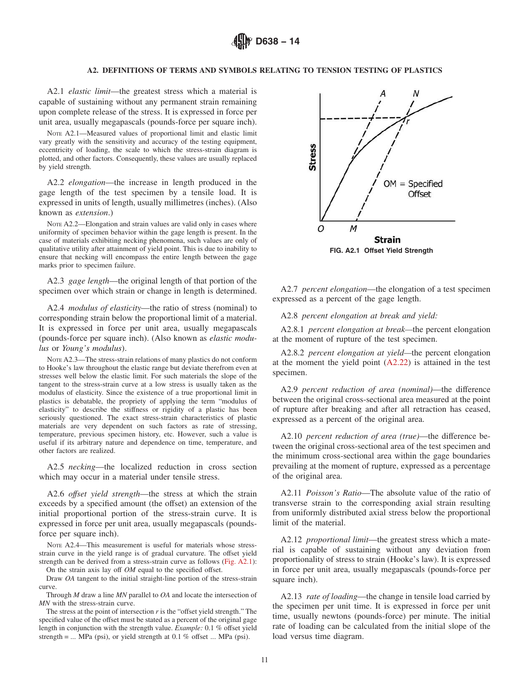*LUII* D638 – 14

## **A2. DEFINITIONS OF TERMS AND SYMBOLS RELATING TO TENSION TESTING OF PLASTICS**

<span id="page-10-0"></span>A2.1 *elastic limit*—the greatest stress which a material is capable of sustaining without any permanent strain remaining upon complete release of the stress. It is expressed in force per unit area, usually megapascals (pounds-force per square inch).

NOTE A2.1—Measured values of proportional limit and elastic limit vary greatly with the sensitivity and accuracy of the testing equipment, eccentricity of loading, the scale to which the stress-strain diagram is plotted, and other factors. Consequently, these values are usually replaced by yield strength.

A2.2 *elongation*—the increase in length produced in the gage length of the test specimen by a tensile load. It is expressed in units of length, usually millimetres (inches). (Also known as *extension*.)

NOTE A2.2—Elongation and strain values are valid only in cases where uniformity of specimen behavior within the gage length is present. In the case of materials exhibiting necking phenomena, such values are only of qualitative utility after attainment of yield point. This is due to inability to ensure that necking will encompass the entire length between the gage marks prior to specimen failure.

A2.3 *gage length*—the original length of that portion of the specimen over which strain or change in length is determined.

A2.4 *modulus of elasticity*—the ratio of stress (nominal) to corresponding strain below the proportional limit of a material. It is expressed in force per unit area, usually megapascals (pounds-force per square inch). (Also known as *elastic modulus* or *Young's modulus*).

NOTE A2.3—The stress-strain relations of many plastics do not conform to Hooke's law throughout the elastic range but deviate therefrom even at stresses well below the elastic limit. For such materials the slope of the tangent to the stress-strain curve at a low stress is usually taken as the modulus of elasticity. Since the existence of a true proportional limit in plastics is debatable, the propriety of applying the term "modulus of elasticity" to describe the stiffness or rigidity of a plastic has been seriously questioned. The exact stress-strain characteristics of plastic materials are very dependent on such factors as rate of stressing, temperature, previous specimen history, etc. However, such a value is useful if its arbitrary nature and dependence on time, temperature, and other factors are realized.

A2.5 *necking*—the localized reduction in cross section which may occur in a material under tensile stress.

A2.6 *offset yield strength*—the stress at which the strain exceeds by a specified amount (the offset) an extension of the initial proportional portion of the stress-strain curve. It is expressed in force per unit area, usually megapascals (poundsforce per square inch).

NOTE A2.4—This measurement is useful for materials whose stressstrain curve in the yield range is of gradual curvature. The offset yield strength can be derived from a stress-strain curve as follows (Fig. A2.1):

On the strain axis lay off *OM* equal to the specified offset.

Draw *OA* tangent to the initial straight-line portion of the stress-strain curve.

Through *M* draw a line *MN* parallel to *OA* and locate the intersection of *MN* with the stress-strain curve.

The stress at the point of intersection *r* is the "offset yield strength." The specified value of the offset must be stated as a percent of the original gage length in conjunction with the strength value. *Example:* 0.1 % offset yield strength = ... MPa (psi), or yield strength at  $0.1\%$  offset ... MPa (psi).



A2.7 *percent elongation*—the elongation of a test specimen expressed as a percent of the gage length.

A2.8 *percent elongation at break and yield:*

A2.8.1 *percent elongation at break—*the percent elongation at the moment of rupture of the test specimen.

A2.8.2 *percent elongation at yield—*the percent elongation at the moment the yield point [\(A2.22\)](#page-11-0) is attained in the test specimen.

A2.9 *percent reduction of area (nominal)*—the difference between the original cross-sectional area measured at the point of rupture after breaking and after all retraction has ceased, expressed as a percent of the original area.

A2.10 *percent reduction of area (true)*—the difference between the original cross-sectional area of the test specimen and the minimum cross-sectional area within the gage boundaries prevailing at the moment of rupture, expressed as a percentage of the original area.

A2.11 *Poisson's Ratio*—The absolute value of the ratio of transverse strain to the corresponding axial strain resulting from uniformly distributed axial stress below the proportional limit of the material.

A2.12 *proportional limit*—the greatest stress which a material is capable of sustaining without any deviation from proportionality of stress to strain (Hooke's law). It is expressed in force per unit area, usually megapascals (pounds-force per square inch).

A2.13 *rate of loading*—the change in tensile load carried by the specimen per unit time. It is expressed in force per unit time, usually newtons (pounds-force) per minute. The initial rate of loading can be calculated from the initial slope of the load versus time diagram.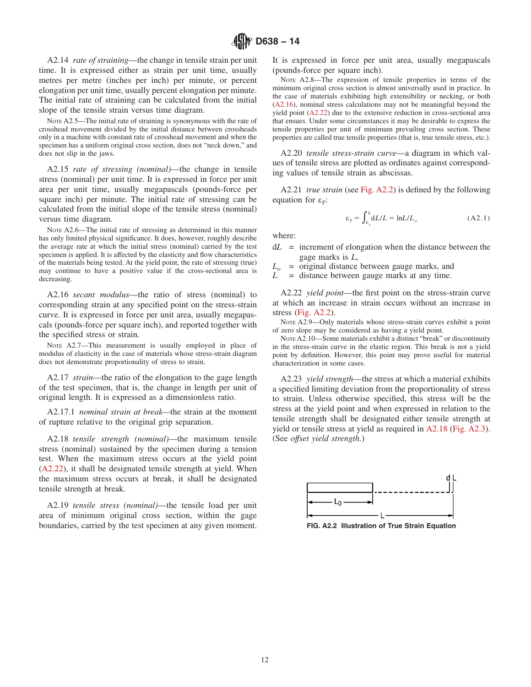<span id="page-11-0"></span>A2.14 *rate of straining*—the change in tensile strain per unit time. It is expressed either as strain per unit time, usually metres per metre (inches per inch) per minute, or percent elongation per unit time, usually percent elongation per minute. The initial rate of straining can be calculated from the initial slope of the tensile strain versus time diagram.

NOTE A2.5—The initial rate of straining is synonymous with the rate of crosshead movement divided by the initial distance between crossheads only in a machine with constant rate of crosshead movement and when the specimen has a uniform original cross section, does not "neck down," and does not slip in the jaws.

A2.15 *rate of stressing (nominal)*—the change in tensile stress (nominal) per unit time. It is expressed in force per unit area per unit time, usually megapascals (pounds-force per square inch) per minute. The initial rate of stressing can be calculated from the initial slope of the tensile stress (nominal) versus time diagram.

NOTE A2.6—The initial rate of stressing as determined in this manner has only limited physical significance. It does, however, roughly describe the average rate at which the initial stress (nominal) carried by the test specimen is applied. It is affected by the elasticity and flow characteristics of the materials being tested. At the yield point, the rate of stressing (true) may continue to have a positive value if the cross-sectional area is decreasing.

A2.16 *secant modulus*—the ratio of stress (nominal) to corresponding strain at any specified point on the stress-strain curve. It is expressed in force per unit area, usually megapascals (pounds-force per square inch), and reported together with the specified stress or strain.

NOTE A2.7—This measurement is usually employed in place of modulus of elasticity in the case of materials whose stress-strain diagram does not demonstrate proportionality of stress to strain.

A2.17 *strain*—the ratio of the elongation to the gage length of the test specimen, that is, the change in length per unit of original length. It is expressed as a dimensionless ratio.

A2.17.1 *nominal strain at break—*the strain at the moment of rupture relative to the original grip separation.

A2.18 *tensile strength (nominal)*—the maximum tensile stress (nominal) sustained by the specimen during a tension test. When the maximum stress occurs at the yield point (A2.22), it shall be designated tensile strength at yield. When the maximum stress occurs at break, it shall be designated tensile strength at break.

A2.19 *tensile stress (nominal)*—the tensile load per unit area of minimum original cross section, within the gage boundaries, carried by the test specimen at any given moment. It is expressed in force per unit area, usually megapascals (pounds-force per square inch).

NOTE A2.8—The expression of tensile properties in terms of the minimum original cross section is almost universally used in practice. In the case of materials exhibiting high extensibility or necking, or both (A2.16), nominal stress calculations may not be meaningful beyond the yield point (A2.22) due to the extensive reduction in cross-sectional area that ensues. Under some circumstances it may be desirable to express the tensile properties per unit of minimum prevailing cross section. These properties are called true tensile properties (that is, true tensile stress, etc.).

A2.20 *tensile stress-strain curve*—a diagram in which values of tensile stress are plotted as ordinates against corresponding values of tensile strain as abscissas.

A2.21 *true strain* (see Fig. A2.2) is defined by the following equation for  $\varepsilon_T$ :

$$
\varepsilon_T = \int_{L_o}^{L} dL/L = \ln L/L_o \tag{A2.1}
$$

where:

 $dL$  = increment of elongation when the distance between the gage marks is *L*,

 $L<sub>o</sub>$  = original distance between gauge marks, and

*L* = distance between gauge marks at any time.

A2.22 *yield point*—the first point on the stress-strain curve at which an increase in strain occurs without an increase in stress (Fig. A2.2).

NOTE A2.9—Only materials whose stress-strain curves exhibit a point of zero slope may be considered as having a yield point.

NOTE A2.10—Some materials exhibit a distinct "break" or discontinuity in the stress-strain curve in the elastic region. This break is not a yield point by definition. However, this point may prove useful for material characterization in some cases.

A2.23 *yield strength*—the stress at which a material exhibits a specified limiting deviation from the proportionality of stress to strain. Unless otherwise specified, this stress will be the stress at the yield point and when expressed in relation to the tensile strength shall be designated either tensile strength at yield or tensile stress at yield as required in A2.18 [\(Fig. A2.3\)](#page-12-0). (See *offset yield strength.*)



**FIG. A2.2 Illustration of True Strain Equation**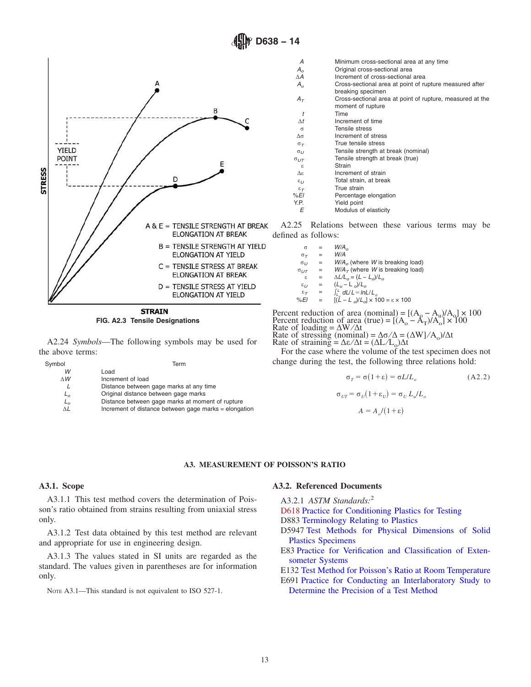<span id="page-12-0"></span>

**FIG. A2.3 Tensile Designations**

A2.24 *Symbols*—The following symbols may be used for the above terms:

| Symbol       | Term                                                  |
|--------------|-------------------------------------------------------|
| w            | Load                                                  |
| ΛW           | Increment of load                                     |
|              | Distance between gage marks at any time               |
| $L_{\alpha}$ | Original distance between gage marks                  |
| $L_{\rm H}$  | Distance between gage marks at moment of rupture      |
| $\Delta I$   | Increment of distance between gage marks = elongation |
|              |                                                       |

*A* Minimum cross-sectional area at any time *A<sub>o</sub>* Original cross-sectional area<br> *AA* Increment of cross-sectional ∆*A* Increment of cross-sectional area *Au* Cross-sectional area at point of rupture measured after breaking specimen *AT* Cross-sectional area at point of rupture, measured at the moment of rupture *t* Time ∆*t* Increment of time σ Tensile stress ∆σ Increment of stress σ*<sup>T</sup>* True tensile stress σ*<sup>U</sup>* Tensile strength at break (nominal) **Tensile strength at break (true)** ε Strain ∆ε Increment of strain ε*<sup>U</sup>* Total strain, at break ε<sub>*τ*</sub> True strain<br>%*El* Percentage %*El* Percentage elongation<br>Y.P. Yield point P. Yield point<br>F Modulus of **Modulus of elasticity** 

A2.25 Relations between these various terms may be defined as follows:

> σ = *W/Ao*  $\begin{array}{rcl}\n\sigma_{\mathcal{T}} &=& W/A \\
> \sigma_U &=& W/A\n\end{array}$  $\sigma_U$  = *W/A<sub>o</sub>* (where *W* is breaking load)<br> $\sigma_{UT}$  = *W/A<sub>T</sub>* (where *W* is breaking load)  $W/A<sub>T</sub>$  (where *W* is breaking load)  $\varepsilon$  =  $\Delta L/L_o = (L - L_o)/L_o$ <br> $\varepsilon_U$  =  $(L_u - L_o)/L_o$  $\varepsilon_U$  =  $(L_u - L_o)/L_o$ <br> $\varepsilon_T$  =  $\int_c^L dL/L = lnL$  $\varepsilon_T$  =  $\int_{L_o}^{L} dL/L = lnL/L_o$ %*El* = [(*L−L <sup>o</sup>*)/*Lo*] × 100 = ε × 100

Percent reduction of area (nominal) =  $[(A_0 - A_0)/A_0] \times 100$ Percent reduction of area (true) =  $[(A_0 - A_T)/A_0] \times 100$ <br>Rate of loading =  $\Delta W/\Delta t$ Rate of stressing (nominal) =  $\Delta \sigma / \Delta = (\Delta W) / A_o / \Delta t$ Rate of straining =  $\Delta \epsilon / \Delta t = (\Delta L / L_0) \Delta t$ 

For the case where the volume of the test specimen does not change during the test, the following three relations hold:

$$
\sigma_T = \sigma(1 + \varepsilon) = \sigma L / L_o \qquad (A2.2)
$$
  

$$
\sigma_{UT} = \sigma_U (1 + \varepsilon_U) = \sigma_U L_u / L_o
$$
  

$$
A = A_o / (1 + \varepsilon)
$$

## **A3. MEASUREMENT OF POISSON'S RATIO**

## **A3.1. Scope**

A3.1.1 This test method covers the determination of Poisson's ratio obtained from strains resulting from uniaxial stress only.

A3.1.2 Test data obtained by this test method are relevant and appropriate for use in engineering design.

A3.1.3 The values stated in SI units are regarded as the standard. The values given in parentheses are for information only.

NOTE A3.1—This standard is not equivalent to ISO 527-1.

## **A3.2. Referenced Documents**

A3.2.1 *ASTM Standards:*<sup>2</sup>

[D618](#page-15-0) [Practice for Conditioning Plastics for Testing](http://dx.doi.org/10.1520/D0618)

D883 [Terminology Relating to Plastics](http://dx.doi.org/10.1520/D0883)

- D5947 [Test Methods for Physical Dimensions of Solid](http://dx.doi.org/10.1520/D5947) [Plastics Specimens](http://dx.doi.org/10.1520/D5947)
- E83 [Practice for Verification and Classification of Exten](http://dx.doi.org/10.1520/E0083)[someter Systems](http://dx.doi.org/10.1520/E0083)
- E132 [Test Method for Poisson's Ratio at Room Temperature](http://dx.doi.org/10.1520/E0132) E691 [Practice for Conducting an Interlaboratory Study to](http://dx.doi.org/10.1520/E0691)

[Determine the Precision of a Test Method](http://dx.doi.org/10.1520/E0691)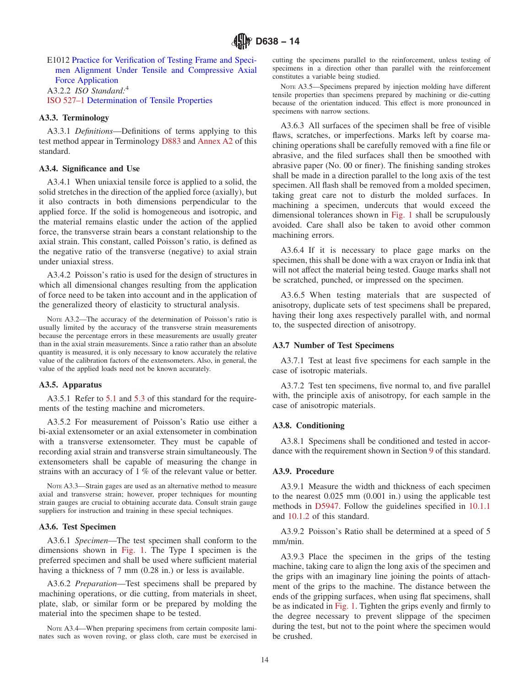## <span id="page-13-0"></span>E1012 [Practice for Verification of Testing Frame and Speci](http://dx.doi.org/10.1520/E1012)[men Alignment Under Tensile and Compressive Axial](http://dx.doi.org/10.1520/E1012) [Force Application](http://dx.doi.org/10.1520/E1012)

A3.2.2 *ISO Standard:*<sup>4</sup>

[ISO 527–1](#page-12-0) Determination of Tensile Properties

## **A3.3. Terminology**

A3.3.1 *Definitions*—Definitions of terms applying to this test method appear in Terminology [D883](#page-0-0) and [Annex A2](#page-10-0) of this standard.

## **A3.4. Significance and Use**

A3.4.1 When uniaxial tensile force is applied to a solid, the solid stretches in the direction of the applied force (axially), but it also contracts in both dimensions perpendicular to the applied force. If the solid is homogeneous and isotropic, and the material remains elastic under the action of the applied force, the transverse strain bears a constant relationship to the axial strain. This constant, called Poisson's ratio, is defined as the negative ratio of the transverse (negative) to axial strain under uniaxial stress.

A3.4.2 Poisson's ratio is used for the design of structures in which all dimensional changes resulting from the application of force need to be taken into account and in the application of the generalized theory of elasticity to structural analysis.

NOTE A3.2—The accuracy of the determination of Poisson's ratio is usually limited by the accuracy of the transverse strain measurements because the percentage errors in these measurements are usually greater than in the axial strain measurements. Since a ratio rather than an absolute quantity is measured, it is only necessary to know accurately the relative value of the calibration factors of the extensometers. Also, in general, the value of the applied loads need not be known accurately.

#### **A3.5. Apparatus**

A3.[5.1](#page-1-0) Refer to 5.1 and [5.3](#page-2-0) of this standard for the requirements of the testing machine and micrometers.

A3.5.2 For measurement of Poisson's Ratio use either a bi-axial extensometer or an axial extensometer in combination with a transverse extensometer. They must be capable of recording axial strain and transverse strain simultaneously. The extensometers shall be capable of measuring the change in strains with an accuracy of 1 % of the relevant value or better.

NOTE A3.3—Strain gages are used as an alternative method to measure axial and transverse strain; however, proper techniques for mounting strain gauges are crucial to obtaining accurate data. Consult strain gauge suppliers for instruction and training in these special techniques.

#### **A3.6. Test Specimen**

A3.6.1 *Specimen*—The test specimen shall conform to the dimensions shown in [Fig. 1.](#page-3-0) The Type I specimen is the preferred specimen and shall be used where sufficient material having a thickness of 7 mm (0.28 in.) or less is available.

A3.6.2 *Preparation*—Test specimens shall be prepared by machining operations, or die cutting, from materials in sheet, plate, slab, or similar form or be prepared by molding the material into the specimen shape to be tested.

NOTE A3.4—When preparing specimens from certain composite laminates such as woven roving, or glass cloth, care must be exercised in cutting the specimens parallel to the reinforcement, unless testing of specimens in a direction other than parallel with the reinforcement constitutes a variable being studied.

NOTE A3.5—Specimens prepared by injection molding have different tensile properties than specimens prepared by machining or die-cutting because of the orientation induced. This effect is more pronounced in specimens with narrow sections.

A3.6.3 All surfaces of the specimen shall be free of visible flaws, scratches, or imperfections. Marks left by coarse machining operations shall be carefully removed with a fine file or abrasive, and the filed surfaces shall then be smoothed with abrasive paper (No. 00 or finer). The finishing sanding strokes shall be made in a direction parallel to the long axis of the test specimen. All flash shall be removed from a molded specimen, taking great care not to disturb the molded surfaces. In machining a specimen, undercuts that would exceed the dimensional tolerances shown in [Fig. 1](#page-3-0) shall be scrupulously avoided. Care shall also be taken to avoid other common machining errors.

A3.6.4 If it is necessary to place gage marks on the specimen, this shall be done with a wax crayon or India ink that will not affect the material being tested. Gauge marks shall not be scratched, punched, or impressed on the specimen.

A3.6.5 When testing materials that are suspected of anisotropy, duplicate sets of test specimens shall be prepared, having their long axes respectively parallel with, and normal to, the suspected direction of anisotropy.

## **A3.7 Number of Test Specimens**

A3.7.1 Test at least five specimens for each sample in the case of isotropic materials.

A3.7.2 Test ten specimens, five normal to, and five parallel with, the principle axis of anisotropy, for each sample in the case of anisotropic materials.

#### **A3.8. Conditioning**

A3.8.1 Specimens shall be conditioned and tested in accordance with the requirement shown in Section [9](#page-5-0) of this standard.

#### **A3.9. Procedure**

A3.9.1 Measure the width and thickness of each specimen to the nearest 0.025 mm (0.001 in.) using the applicable test methods in [D5947.](#page-0-0) Follow the guidelines specified in [10.1.1](#page-5-0) and [10.1.2](#page-5-0) of this standard.

A3.9.2 Poisson's Ratio shall be determined at a speed of 5 mm/min.

A3.9.3 Place the specimen in the grips of the testing machine, taking care to align the long axis of the specimen and the grips with an imaginary line joining the points of attachment of the grips to the machine. The distance between the ends of the gripping surfaces, when using flat specimens, shall be as indicated in [Fig. 1.](#page-3-0) Tighten the grips evenly and firmly to the degree necessary to prevent slippage of the specimen during the test, but not to the point where the specimen would be crushed.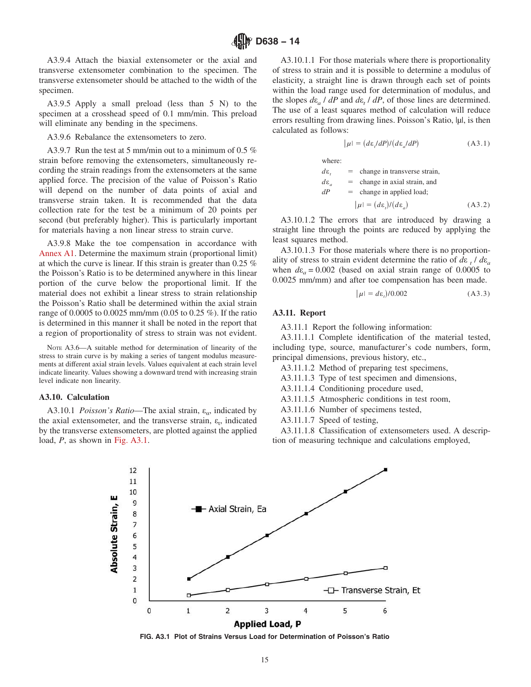A3.9.4 Attach the biaxial extensometer or the axial and transverse extensometer combination to the specimen. The transverse extensometer should be attached to the width of the specimen.

A3.9.5 Apply a small preload (less than 5 N) to the specimen at a crosshead speed of 0.1 mm/min. This preload will eliminate any bending in the specimens.

A3.9.6 Rebalance the extensometers to zero.

A3.9.7 Run the test at 5 mm/min out to a minimum of 0.5 % strain before removing the extensometers, simultaneously recording the strain readings from the extensometers at the same applied force. The precision of the value of Poisson's Ratio will depend on the number of data points of axial and transverse strain taken. It is recommended that the data collection rate for the test be a minimum of 20 points per second (but preferably higher). This is particularly important for materials having a non linear stress to strain curve.

A3.9.8 Make the toe compensation in accordance with [Annex A1.](#page-9-0) Determine the maximum strain (proportional limit) at which the curve is linear. If this strain is greater than 0.25 % the Poisson's Ratio is to be determined anywhere in this linear portion of the curve below the proportional limit. If the material does not exhibit a linear stress to strain relationship the Poisson's Ratio shall be determined within the axial strain range of 0.0005 to 0.0025 mm/mm (0.05 to 0.25 %). If the ratio is determined in this manner it shall be noted in the report that a region of proportionality of stress to strain was not evident.

NOTE A3.6—A suitable method for determination of linearity of the stress to strain curve is by making a series of tangent modulus measurements at different axial strain levels. Values equivalent at each strain level indicate linearity. Values showing a downward trend with increasing strain level indicate non linearity.

#### **A3.10. Calculation**

A3.10.1 *Poisson's Ratio*—The axial strain,  $ε_{\alpha}$ , indicated by the axial extensometer, and the transverse strain,  $\varepsilon_t$ , indicated by the transverse extensometers, are plotted against the applied load, *P*, as shown in Fig. A3.1.

A3.10.1.1 For those materials where there is proportionality of stress to strain and it is possible to determine a modulus of elasticity, a straight line is drawn through each set of points within the load range used for determination of modulus, and the slopes  $d\varepsilon_a$  /  $dP$  and  $d\varepsilon_t$  /  $dP$ , of those lines are determined. The use of a least squares method of calculation will reduce errors resulting from drawing lines. Poisson's Ratio,  $|\mu|$ , is then calculated as follows:

$$
|\mu| = (d\varepsilon_l/dP)/(d\varepsilon_a/dP) \tag{A3.1}
$$

where:

$$
det = change in transverse strain,\n
$$
dea = change in axial strain, and\n
$$
dP = change in applied load;\n|\mu| = (det)/(dea)
$$
\n(A3.2)
$$
$$

A3.10.1.2 The errors that are introduced by drawing a straight line through the points are reduced by applying the least squares method.

A3.10.1.3 For those materials where there is no proportionality of stress to strain evident determine the ratio of  $d\varepsilon$ , /  $d\varepsilon$ <sub>*a*</sub> when  $d\varepsilon_a = 0.002$  (based on axial strain range of 0.0005 to 0.0025 mm/mm) and after toe compensation has been made.

$$
|\mu| = d\varepsilon_t/0.002\tag{A3.3}
$$

#### **A3.11. Report**

A3.11.1 Report the following information:

A3.11.1.1 Complete identification of the material tested, including type, source, manufacturer's code numbers, form, principal dimensions, previous history, etc.,

- A3.11.1.2 Method of preparing test specimens,
- A3.11.1.3 Type of test specimen and dimensions,

A3.11.1.4 Conditioning procedure used,

- A3.11.1.5 Atmospheric conditions in test room,
- A3.11.1.6 Number of specimens tested,
- A3.11.1.7 Speed of testing,

A3.11.1.8 Classification of extensometers used. A description of measuring technique and calculations employed,



**FIG. A3.1 Plot of Strains Versus Load for Determination of Poisson's Ratio**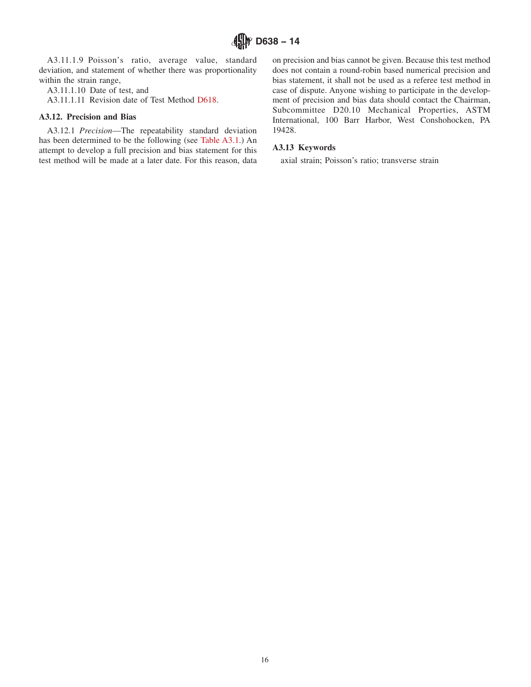<span id="page-15-0"></span>A3.11.1.9 Poisson's ratio, average value, standard deviation, and statement of whether there was proportionality within the strain range,

A3.11.1.10 Date of test, and

A3.11.1.11 Revision date of Test Method [D618.](#page-12-0)

## **A3.12. Precision and Bias**

A3.12.1 *Precision*—The repeatability standard deviation has been determined to be the following (see [Table A3.1.](#page-16-0)) An attempt to develop a full precision and bias statement for this test method will be made at a later date. For this reason, data on precision and bias cannot be given. Because this test method does not contain a round-robin based numerical precision and bias statement, it shall not be used as a referee test method in case of dispute. Anyone wishing to participate in the development of precision and bias data should contact the Chairman, Subcommittee D20.10 Mechanical Properties, ASTM International, 100 Barr Harbor, West Conshohocken, PA 19428.

## **A3.13 Keywords**

axial strain; Poisson's ratio; transverse strain